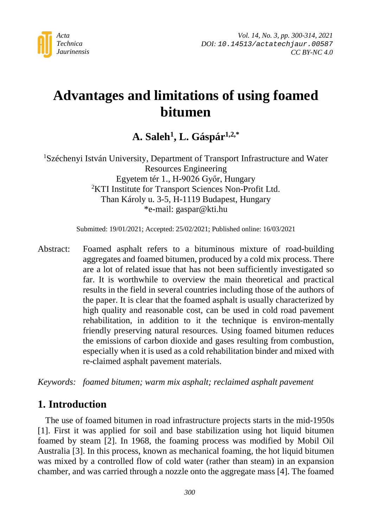

# **Advantages and limitations of using foamed bitumen**

## **A. Saleh1, L. Gáspár1,2,\***

1 Széchenyi István University, Department of Transport Infrastructure and Water Resources Engineering Egyetem tér 1., H-9026 Győr, Hungary 2 KTI Institute for Transport Sciences Non-Profit Ltd. Than Károly u. 3-5, H-1119 Budapest, Hungary \*e-mail: gaspar@kti.hu

Submitted: 19/01/2021; Accepted: 25/02/2021; Published online: 16/03/2021

Abstract: Foamed asphalt refers to a bituminous mixture of road-building aggregates and foamed bitumen, produced by a cold mix process. There are a lot of related issue that has not been sufficiently investigated so far. It is worthwhile to overview the main theoretical and practical results in the field in several countries including those of the authors of the paper. It is clear that the foamed asphalt is usually characterized by high quality and reasonable cost, can be used in cold road pavement rehabilitation, in addition to it the technique is environ-mentally friendly preserving natural resources. Using foamed bitumen reduces the emissions of carbon dioxide and gases resulting from combustion, especially when it is used as a cold rehabilitation binder and mixed with re-claimed asphalt pavement materials.

*Keywords: foamed bitumen; warm mix asphalt; reclaimed asphalt pavement*

### **1. Introduction**

The use of foamed bitumen in road infrastructure projects starts in the mid-1950s [1]. First it was applied for soil and base stabilization using hot liquid bitumen foamed by steam [2]. In 1968, the foaming process was modified by Mobil Oil Australia [3]. In this process, known as mechanical foaming, the hot liquid bitumen was mixed by a controlled flow of cold water (rather than steam) in an expansion chamber, and was carried through a nozzle onto the aggregate mass [4]. The foamed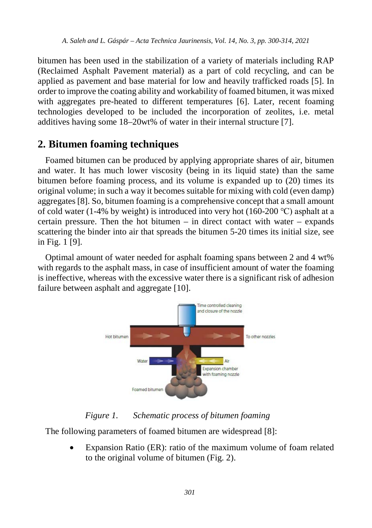bitumen has been used in the stabilization of a variety of materials including RAP (Reclaimed Asphalt Pavement material) as a part of cold recycling, and can be applied as pavement and base material for low and heavily trafficked roads [5]. In order to improve the coating ability and workability of foamed bitumen, it was mixed with aggregates pre-heated to different temperatures [6]. Later, recent foaming technologies developed to be included the incorporation of zeolites, i.e. metal additives having some 18–20wt% of water in their internal structure [7].

## **2. Bitumen foaming techniques**

Foamed bitumen can be produced by applying appropriate shares of air, bitumen and water. It has much lower viscosity (being in its liquid state) than the same bitumen before foaming process, and its volume is expanded up to (20) times its original volume; in such a way it becomes suitable for mixing with cold (even damp) aggregates [8]. So, bitumen foaming is a comprehensive concept that a small amount of cold water (1-4% by weight) is introduced into very hot (160-200 °C) asphalt at a certain pressure. Then the hot bitumen  $-$  in direct contact with water  $-$  expands scattering the binder into air that spreads the bitumen 5-20 times its initial size, see in Fig. 1 [9].

Optimal amount of water needed for asphalt foaming spans between 2 and 4 wt% with regards to the asphalt mass, in case of insufficient amount of water the foaming is ineffective, whereas with the excessive water there is a significant risk of adhesion failure between asphalt and aggregate [10].



*Figure 1. Schematic process of bitumen foaming*

The following parameters of foamed bitumen are widespread [8]:

Expansion Ratio (ER): ratio of the maximum volume of foam related to the original volume of bitumen (Fig. 2).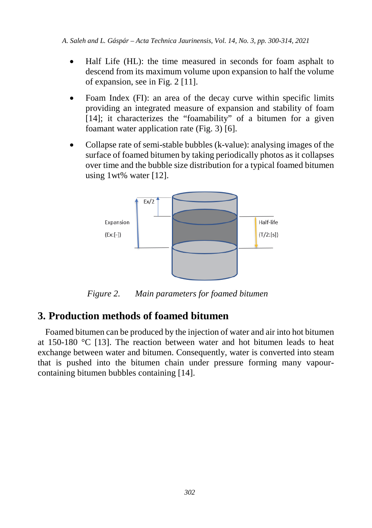- Half Life (HL): the time measured in seconds for foam asphalt to descend from its maximum volume upon expansion to half the volume of expansion, see in Fig. 2 [11].
- Foam Index (FI): an area of the decay curve within specific limits providing an integrated measure of expansion and stability of foam [14]; it characterizes the "foamability" of a bitumen for a given foamant water application rate (Fig. 3) [6].
- Collapse rate of semi-stable bubbles (k-value): analysing images of the surface of foamed bitumen by taking periodically photos as it collapses over time and the bubble size distribution for a typical foamed bitumen using 1wt% water [12].



*Figure 2. Main parameters for foamed bitumen*

## **3. Production methods of foamed bitumen**

Foamed bitumen can be produced by the injection of water and air into hot bitumen at 150-180 °C [13]. The reaction between water and hot bitumen leads to heat exchange between water and bitumen. Consequently, water is converted into steam that is pushed into the bitumen chain under pressure forming many vapourcontaining bitumen bubbles containing [14].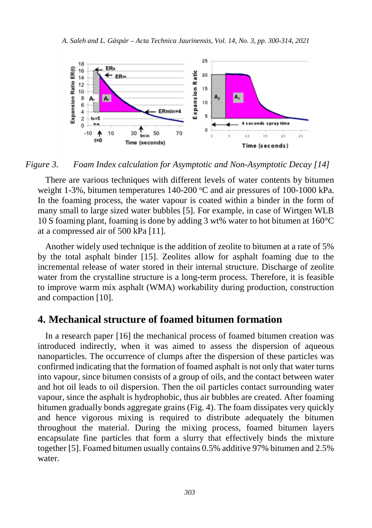

*Figure 3. Foam Index calculation for Asymptotic and Non-Asymptotic Decay [14]*

There are various techniques with different levels of water contents by bitumen weight 1-3%, bitumen temperatures 140-200 °C and air pressures of 100-1000 kPa. In the foaming process, the water vapour is coated within a binder in the form of many small to large sized water bubbles [5]. For example, in case of Wirtgen WLB 10 S foaming plant, foaming is done by adding 3 wt% water to hot bitumen at 160°C at a compressed air of 500 kPa [11].

Another widely used technique is the addition of zeolite to bitumen at a rate of 5% by the total asphalt binder [15]. Zeolites allow for asphalt foaming due to the incremental release of water stored in their internal structure. Discharge of zeolite water from the crystalline structure is a long-term process. Therefore, it is feasible to improve warm mix asphalt (WMA) workability during production, construction and compaction [10].

#### **4. Mechanical structure of foamed bitumen formation**

In a research paper [16] the mechanical process of foamed bitumen creation was introduced indirectly, when it was aimed to assess the dispersion of aqueous nanoparticles. The occurrence of clumps after the dispersion of these particles was confirmed indicating that the formation of foamed asphalt is not only that water turns into vapour, since bitumen consists of a group of oils, and the contact between water and hot oil leads to oil dispersion. Then the oil particles contact surrounding water vapour, since the asphalt is hydrophobic, thus air bubbles are created. After foaming bitumen gradually bonds aggregate grains (Fig. 4). The foam dissipates very quickly and hence vigorous mixing is required to distribute adequately the bitumen throughout the material. During the mixing process, foamed bitumen layers encapsulate fine particles that form a slurry that effectively binds the mixture together [5]. Foamed bitumen usually contains 0.5% additive 97% bitumen and 2.5% water.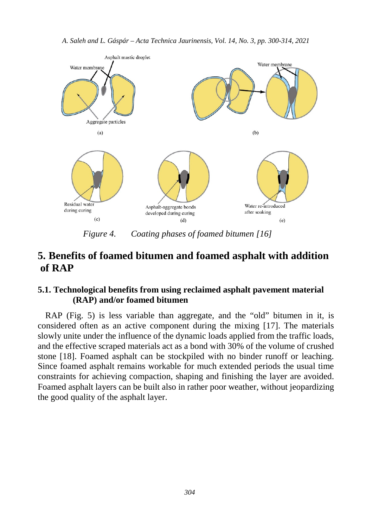

*Figure 4. Coating phases of foamed bitumen [16]*

## **5. Benefits of foamed bitumen and foamed asphalt with addition of RAP**

#### **5.1. Technological benefits from using reclaimed asphalt pavement material (RAP) and/or foamed bitumen**

RAP (Fig. 5) is less variable than aggregate, and the "old" bitumen in it, is considered often as an active component during the mixing [17]. The materials slowly unite under the influence of the dynamic loads applied from the traffic loads, and the effective scraped materials act as a bond with 30% of the volume of crushed stone [18]. Foamed asphalt can be stockpiled with no binder runoff or leaching. Since foamed asphalt remains workable for much extended periods the usual time constraints for achieving compaction, shaping and finishing the layer are avoided. Foamed asphalt layers can be built also in rather poor weather, without jeopardizing the good quality of the asphalt layer.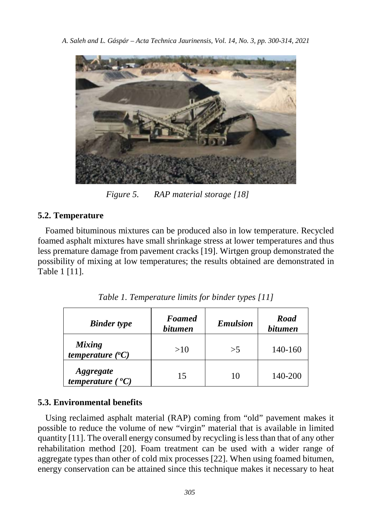

*Figure 5. RAP material storage [18]*

#### **5.2. Temperature**

Foamed bituminous mixtures can be produced also in low temperature. Recycled foamed asphalt mixtures have small shrinkage stress at lower temperatures and thus less premature damage from pavement cracks [19]. Wirtgen group demonstrated the possibility of mixing at low temperatures; the results obtained are demonstrated in Table 1 [11].

| <b>Binder</b> type                            | <b>Foamed</b><br><i>bitumen</i> | <b>Emulsion</b> | Road<br><i>bitumen</i> |
|-----------------------------------------------|---------------------------------|-----------------|------------------------|
| <b>Mixing</b><br>temperature $({}^oC)$        | >10                             | >5              | 140-160                |
| <i>Aggregate</i><br>temperature $(^{\circ}C)$ | 15                              | 10              | 140-200                |

*Table 1. Temperature limits for binder types [11]*

#### **5.3. Environmental benefits**

Using reclaimed asphalt material (RAP) coming from "old" pavement makes it possible to reduce the volume of new "virgin" material that is available in limited quantity [11]. The overall energy consumed by recycling is less than that of any other rehabilitation method [20]. Foam treatment can be used with a wider range of aggregate types than other of cold mix processes [22]. When using foamed bitumen, energy conservation can be attained since this technique makes it necessary to heat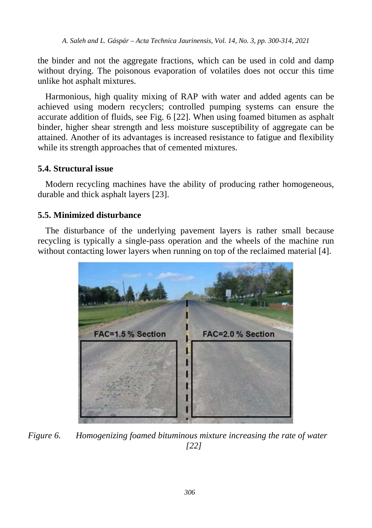the binder and not the aggregate fractions, which can be used in cold and damp without drying. The poisonous evaporation of volatiles does not occur this time unlike hot asphalt mixtures.

Harmonious, high quality mixing of RAP with water and added agents can be achieved using modern recyclers; controlled pumping systems can ensure the accurate addition of fluids, see Fig. 6 [22]. When using foamed bitumen as asphalt binder, higher shear strength and less moisture susceptibility of aggregate can be attained. Another of its advantages is increased resistance to fatigue and flexibility while its strength approaches that of cemented mixtures.

#### **5.4. Structural issue**

Modern recycling machines have the ability of producing rather homogeneous, durable and thick asphalt layers [23].

#### **5.5. Minimized disturbance**

The disturbance of the underlying pavement layers is rather small because recycling is typically a single-pass operation and the wheels of the machine run without contacting lower layers when running on top of the reclaimed material [4].



*Figure 6. Homogenizing foamed bituminous mixture increasing the rate of water [22]*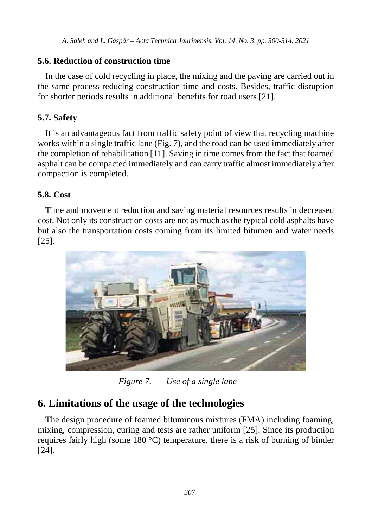#### **5.6. Reduction of construction time**

In the case of cold recycling in place, the mixing and the paving are carried out in the same process reducing construction time and costs. Besides, traffic disruption for shorter periods results in additional benefits for road users [21].

### **5.7. Safety**

It is an advantageous fact from traffic safety point of view that recycling machine works within a single traffic lane (Fig. 7), and the road can be used immediately after the completion of rehabilitation [11]. Saving in time comes from the fact that foamed asphalt can be compacted immediately and can carry traffic almost immediately after compaction is completed.

#### **5.8. Cost**

Time and movement reduction and saving material resources results in decreased cost. Not only its construction costs are not as much as the typical cold asphalts have but also the transportation costs coming from its limited bitumen and water needs [25].



*Figure 7. Use of a single lane*

## **6. Limitations of the usage of the technologies**

The design procedure of foamed bituminous mixtures (FMA) including foaming, mixing, compression, curing and tests are rather uniform [25]. Since its production requires fairly high (some 180 °C) temperature, there is a risk of burning of binder [24].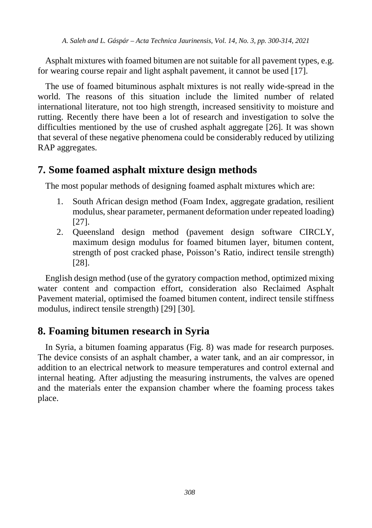Asphalt mixtures with foamed bitumen are not suitable for all pavement types, e.g. for wearing course repair and light asphalt pavement, it cannot be used [17].

The use of foamed bituminous asphalt mixtures is not really wide-spread in the world. The reasons of this situation include the limited number of related international literature, not too high strength, increased sensitivity to moisture and rutting. Recently there have been a lot of research and investigation to solve the difficulties mentioned by the use of crushed asphalt aggregate [26]. It was shown that several of these negative phenomena could be considerably reduced by utilizing RAP aggregates.

## **7. Some foamed asphalt mixture design methods**

The most popular methods of designing foamed asphalt mixtures which are:

- 1. South African design method (Foam Index, aggregate gradation, resilient modulus, shear parameter, permanent deformation under repeated loading) [27].
- 2. Queensland design method (pavement design software CIRCLY, maximum design modulus for foamed bitumen layer, bitumen content, strength of post cracked phase, Poisson's Ratio, indirect tensile strength) [28].

English design method (use of the gyratory compaction method, optimized mixing water content and compaction effort, consideration also Reclaimed Asphalt Pavement material, optimised the foamed bitumen content, indirect tensile stiffness modulus, indirect tensile strength) [29] [30].

## **8. Foaming bitumen research in Syria**

In Syria, a bitumen foaming apparatus (Fig. 8) was made for research purposes. The device consists of an asphalt chamber, a water tank, and an air compressor, in addition to an electrical network to measure temperatures and control external and internal heating. After adjusting the measuring instruments, the valves are opened and the materials enter the expansion chamber where the foaming process takes place.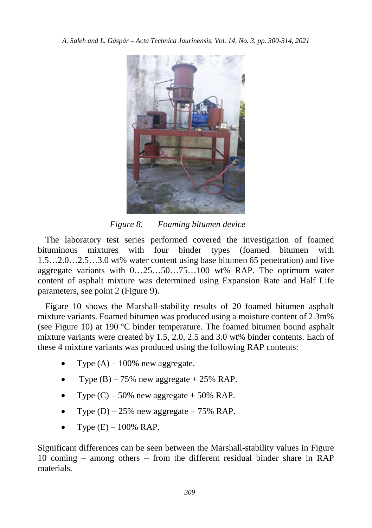

*Figure 8. Foaming bitumen device*

The laboratory test series performed covered the investigation of foamed bituminous mixtures with four binder types (foamed bitumen with 1.5…2.0…2.5…3.0 wt% water content using base bitumen 65 penetration) and five aggregate variants with 0…25…50…75…100 wt% RAP. The optimum water content of asphalt mixture was determined using Expansion Rate and Half Life parameters, see point 2 (Figure 9).

Figure 10 shows the Marshall-stability results of 20 foamed bitumen asphalt mixture variants. Foamed bitumen was produced using a moisture content of 2.3m% (see Figure 10) at 190 °C binder temperature. The foamed bitumen bound asphalt mixture variants were created by 1.5, 2.0, 2.5 and 3.0 wt% binder contents. Each of these 4 mixture variants was produced using the following RAP contents:

- Type  $(A)$  100% new aggregate.
- Type  $(B)$  75% new aggregate + 25% RAP.
- Type  $(C)$  50% new aggregate + 50% RAP.
- Type  $(D)$  25% new aggregate + 75% RAP.
- Type  $(E) 100\%$  RAP.

Significant differences can be seen between the Marshall-stability values in Figure 10 coming – among others – from the different residual binder share in RAP materials.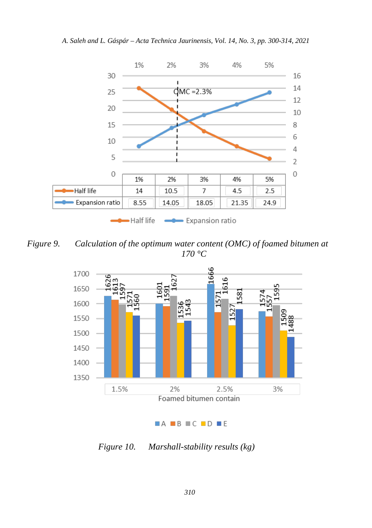

*Figure 9. Calculation of the optimum water content (OMC) of foamed bitumen at 170 °C*



#### $AA$  B C D E

*Figure 10. Marshall-stability results (kg)*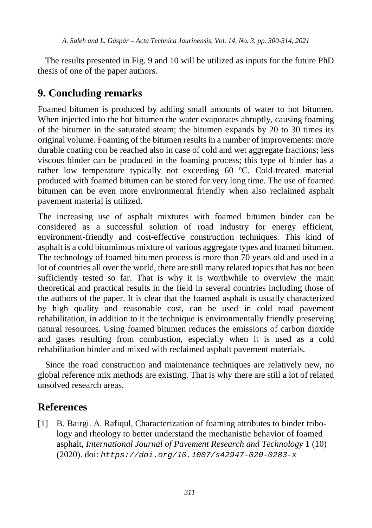The results presented in Fig. 9 and 10 will be utilized as inputs for the future PhD thesis of one of the paper authors.

## **9. Concluding remarks**

Foamed bitumen is produced by adding small amounts of water to hot bitumen. When injected into the hot bitumen the water evaporates abruptly, causing foaming of the bitumen in the saturated steam; the bitumen expands by 20 to 30 times its original volume. Foaming of the bitumen results in a number of improvements: more durable coating con be reached also in case of cold and wet aggregate fractions; less viscous binder can be produced in the foaming process; this type of binder has a rather low temperature typically not exceeding 60 °C. Cold-treated material produced with foamed bitumen can be stored for very long time. The use of foamed bitumen can be even more environmental friendly when also reclaimed asphalt pavement material is utilized.

The increasing use of asphalt mixtures with foamed bitumen binder can be considered as a successful solution of road industry for energy efficient, environment-friendly and cost-effective construction techniques. This kind of asphalt is a cold bituminous mixture of various aggregate types and foamed bitumen. The technology of foamed bitumen process is more than 70 years old and used in a lot of countries all over the world, there are still many related topics that has not been sufficiently tested so far. That is why it is worthwhile to overview the main theoretical and practical results in the field in several countries including those of the authors of the paper. It is clear that the foamed asphalt is usually characterized by high quality and reasonable cost, can be used in cold road pavement rehabilitation, in addition to it the technique is environmentally friendly preserving natural resources. Using foamed bitumen reduces the emissions of carbon dioxide and gases resulting from combustion, especially when it is used as a cold rehabilitation binder and mixed with reclaimed asphalt pavement materials.

Since the road construction and maintenance techniques are relatively new, no global reference mix methods are existing. That is why there are still a lot of related unsolved research areas.

## **References**

[1] B. Bairgi. A. Rafiqul, Characterization of foaming attributes to binder tribology and rheology to better understand the mechanistic behavior of foamed asphalt, *International Journal of Pavement Research and Technology* 1 (10) (2020). doi: *[https://doi.org/10.1007/s42947-020-0283-x](doi:%20https://doi.org/10.1007/s42947-020-0283-x)*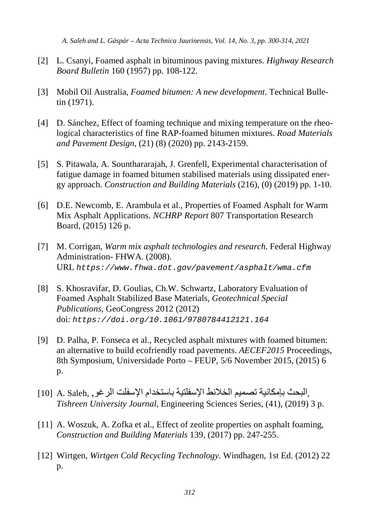- [2] L. Csanyi, Foamed asphalt in bituminous paving mixtures. *Highway Research Board Bulletin* 160 (1957) pp. 108-122.
- [3] Mobil Oil Australia, *Foamed bitumen: A new development*. Technical Bulletin (1971).
- [4] D. Sánchez, Effect of foaming technique and mixing temperature on the rheological characteristics of fine RAP-foamed bitumen mixtures. *Road Materials and Pavement Design*, (21) (8) (2020) pp. 2143-2159.
- [5] S. Pitawala, A. Sounthararajah, J. Grenfell, Experimental characterisation of fatigue damage in foamed bitumen stabilised materials using dissipated energy approach. *Construction and Building Materials* (216), (0) (2019) pp. 1-10.
- [6] D.E. Newcomb, E. Arambula et al., Properties of Foamed Asphalt for Warm Mix Asphalt Applications. *NCHRP Report* 807 Transportation Research Board, (2015) 126 p.
- [7] M. Corrigan, *Warm mix asphalt technologies and research*. Federal Highway Administration- FHWA. (2008). URL *https://www.fhwa.dot.gov/pavement/asphalt/wma.cfm*
- [8] S. Khosravifar, D. Goulias, Ch.W. Schwartz, Laboratory Evaluation of Foamed Asphalt Stabilized Base Materials, *Geotechnical Special Publications*, GeoCongress 2012 (2012) doi: *https://doi.org/10.1061/9780784412121.164*
- [9] D. Palha, P. Fonseca et al., Recycled asphalt mixtures with foamed bitumen: an alternative to build ecofriendly road pavements. *AECEF2015* Proceedings, 8th Symposium, Universidade Porto – FEUP, 5/6 November 2015, (2015) 6  $p<sub>1</sub>$
- ,البحث بإمكانية تصميم الخلائط الإسفلتية باستخدام الإسفلت الرغو, A. Saleh . 10] 1 *Tishreen University Journal,* Engineering Sciences Series, (41), (2019) 3 p.
- [11] A. Woszuk, A. Zofka et al., Effect of zeolite properties on asphalt foaming, *Construction and Building Materials* 139, (2017) pp. 247-255.
- [12] Wirtgen, *Wirtgen Cold Recycling Technology*. Windhagen, 1st Ed. (2012) 22 p.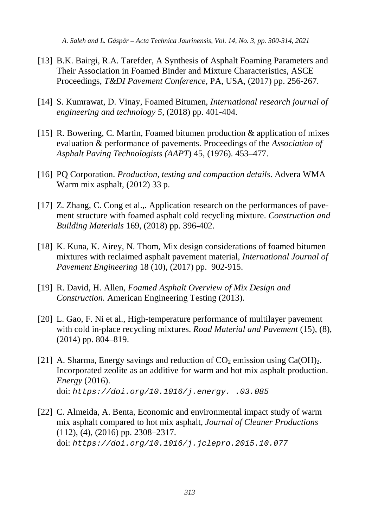- [13] B.K. Bairgi, R.A. Tarefder, A Synthesis of Asphalt Foaming Parameters and Their Association in Foamed Binder and Mixture Characteristics, ASCE Proceedings, *T&DI Pavement Conference*, PA, USA, (2017) pp. 256-267.
- [14] S. Kumrawat, D. Vinay, Foamed Bitumen, *International research journal of engineering and technology 5*, (2018) pp. 401-404.
- [15] R. Bowering, C. Martin, Foamed bitumen production & application of mixes evaluation & performance of pavements. Proceedings of the *Association of Asphalt Paving Technologists (AAPT*) 45, (1976). 453–477.
- [16] PQ Corporation. *Production, testing and compaction details*. Advera WMA Warm mix asphalt, (2012) 33 p.
- [17] Z. Zhang, C. Cong et al.,. Application research on the performances of pavement structure with foamed asphalt cold recycling mixture. *Construction and Building Materials* 169, (2018) pp. 396-402.
- [18] K. Kuna, K. Airey, N. Thom, Mix design considerations of foamed bitumen mixtures with reclaimed asphalt pavement material, *International Journal of Pavement Engineering* 18 (10), (2017) pp. 902-915.
- [19] R. David, H. Allen, *Foamed Asphalt Overview of Mix Design and Construction.* American Engineering Testing (2013).
- [20] L. Gao, F. Ni et al., High-temperature performance of multilayer pavement with cold in-place recycling mixtures. *Road Material and Pavement* (15), (8), (2014) pp. 804–819.
- [21] A. Sharma, Energy savings and reduction of  $CO<sub>2</sub>$  emission using Ca(OH)<sub>2</sub>. Incorporated zeolite as an additive for warm and hot mix asphalt production. *Energy* (2016). doi: *https://doi.org/10.1016/j.energy. .03.085*
- [22] C. Almeida, A. Benta, Economic and environmental impact study of warm mix asphalt compared to hot mix asphalt, *Journal of Cleaner Productions* (112), (4), (2016) pp. 2308–2317. doi: *https://doi.org/10.1016/j.jclepro.2015.10.077*